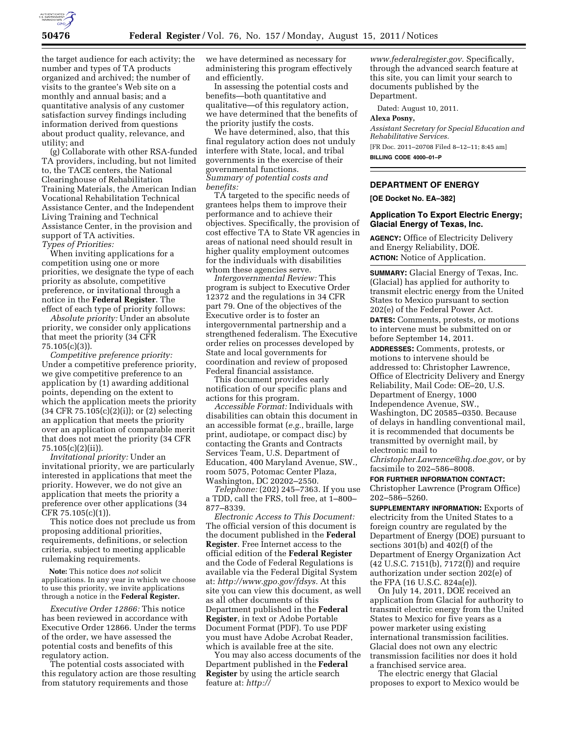

the target audience for each activity; the number and types of TA products organized and archived; the number of visits to the grantee's Web site on a monthly and annual basis; and a quantitative analysis of any customer satisfaction survey findings including information derived from questions about product quality, relevance, and utility; and

(g) Collaborate with other RSA-funded TA providers, including, but not limited to, the TACE centers, the National Clearinghouse of Rehabilitation Training Materials, the American Indian Vocational Rehabilitation Technical Assistance Center, and the Independent Living Training and Technical Assistance Center, in the provision and support of TA activities. *Types of Priorities:* 

When inviting applications for a competition using one or more priorities, we designate the type of each priority as absolute, competitive preference, or invitational through a notice in the **Federal Register**. The effect of each type of priority follows:

*Absolute priority:* Under an absolute priority, we consider only applications that meet the priority (34 CFR 75.105(c)(3)).

*Competitive preference priority:*  Under a competitive preference priority, we give competitive preference to an application by (1) awarding additional points, depending on the extent to which the application meets the priority (34 CFR 75.105(c)(2)(i)); or (2) selecting an application that meets the priority over an application of comparable merit that does not meet the priority (34 CFR 75.105(c)(2)(ii)).

*Invitational priority:* Under an invitational priority, we are particularly interested in applications that meet the priority. However, we do not give an application that meets the priority a preference over other applications (34 CFR 75.105 $(c)(1)$ ).

This notice does not preclude us from proposing additional priorities, requirements, definitions, or selection criteria, subject to meeting applicable rulemaking requirements.

**Note:** This notice does *not* solicit applications. In any year in which we choose to use this priority, we invite applications through a notice in the **Federal Register.** 

*Executive Order 12866:* This notice has been reviewed in accordance with Executive Order 12866. Under the terms of the order, we have assessed the potential costs and benefits of this regulatory action.

The potential costs associated with this regulatory action are those resulting from statutory requirements and those

we have determined as necessary for administering this program effectively and efficiently.

In assessing the potential costs and benefits—both quantitative and qualitative—of this regulatory action, we have determined that the benefits of the priority justify the costs.

We have determined, also, that this final regulatory action does not unduly interfere with State, local, and tribal governments in the exercise of their governmental functions. *Summary of potential costs and benefits:* 

TA targeted to the specific needs of grantees helps them to improve their performance and to achieve their objectives. Specifically, the provision of cost effective TA to State VR agencies in areas of national need should result in higher quality employment outcomes for the individuals with disabilities whom these agencies serve.

*Intergovernmental Review:* This program is subject to Executive Order 12372 and the regulations in 34 CFR part 79. One of the objectives of the Executive order is to foster an intergovernmental partnership and a strengthened federalism. The Executive order relies on processes developed by State and local governments for coordination and review of proposed Federal financial assistance.

This document provides early notification of our specific plans and actions for this program.

*Accessible Format:* Individuals with disabilities can obtain this document in an accessible format (*e.g.*, braille, large print, audiotape, or compact disc) by contacting the Grants and Contracts Services Team, U.S. Department of Education, 400 Maryland Avenue, SW., room 5075, Potomac Center Plaza, Washington, DC 20202–2550.

*Telephone:* (202) 245–7363. If you use a TDD, call the FRS, toll free, at 1–800– 877–8339.

*Electronic Access to This Document:*  The official version of this document is the document published in the **Federal Register**. Free Internet access to the official edition of the **Federal Register**  and the Code of Federal Regulations is available via the Federal Digital System at: *[http://www.gpo.gov/fdsys.](http://www.gpo.gov/fdsys)* At this site you can view this document, as well as all other documents of this Department published in the **Federal Register**, in text or Adobe Portable Document Format (PDF). To use PDF you must have Adobe Acrobat Reader, which is available free at the site.

You may also access documents of the Department published in the **Federal Register** by using the article search feature at: *[http://](http://www.federalregister.gov)* 

*[www.federalregister.gov.](http://www.federalregister.gov)* Specifically, through the advanced search feature at this site, you can limit your search to documents published by the Department.

Dated: August 10, 2011.

## **Alexa Posny,**

*Assistant Secretary for Special Education and Rehabilitative Services.* 

[FR Doc. 2011–20708 Filed 8–12–11; 8:45 am] **BILLING CODE 4000–01–P** 

## **DEPARTMENT OF ENERGY**

**[OE Docket No. EA–382]** 

# **Application To Export Electric Energy; Glacial Energy of Texas, Inc.**

**AGENCY:** Office of Electricity Delivery and Energy Reliability, DOE. **ACTION:** Notice of Application.

**SUMMARY:** Glacial Energy of Texas, Inc. (Glacial) has applied for authority to transmit electric energy from the United States to Mexico pursuant to section 202(e) of the Federal Power Act. **DATES:** Comments, protests, or motions to intervene must be submitted on or before September 14, 2011.

**ADDRESSES:** Comments, protests, or motions to intervene should be addressed to: Christopher Lawrence, Office of Electricity Delivery and Energy Reliability, Mail Code: OE–20, U.S. Department of Energy, 1000 Independence Avenue, SW., Washington, DC 20585–0350. Because of delays in handling conventional mail, it is recommended that documents be transmitted by overnight mail, by electronic mail to *[Christopher.Lawrence@hq.doe.gov,](mailto:Christopher.Lawrence@hq.doe.gov)* or by

facsimile to 202–586–8008.

**FOR FURTHER INFORMATION CONTACT:**  Christopher Lawrence (Program Office) 202–586–5260.

**SUPPLEMENTARY INFORMATION:** Exports of electricity from the United States to a foreign country are regulated by the Department of Energy (DOE) pursuant to sections 301(b) and 402(f) of the Department of Energy Organization Act (42 U.S.C. 7151(b), 7172(f)) and require authorization under section 202(e) of the FPA (16 U.S.C. 824a(e)).

On July 14, 2011, DOE received an application from Glacial for authority to transmit electric energy from the United States to Mexico for five years as a power marketer using existing international transmission facilities. Glacial does not own any electric transmission facilities nor does it hold a franchised service area.

The electric energy that Glacial proposes to export to Mexico would be